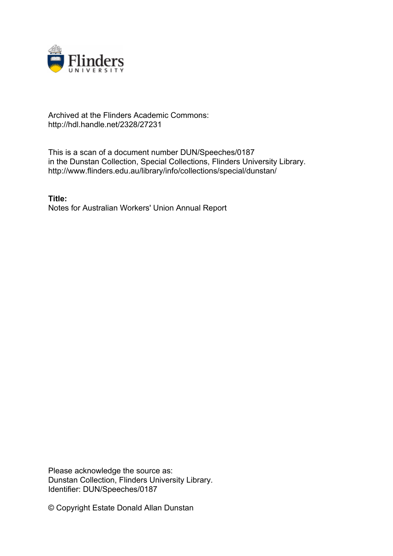

## Archived at the Flinders Academic Commons: http://hdl.handle.net/2328/27231

This is a scan of a document number DUN/Speeches/0187 in the Dunstan Collection, Special Collections, Flinders University Library. http://www.flinders.edu.au/library/info/collections/special/dunstan/

**Title:** Notes for Australian Workers' Union Annual Report

Please acknowledge the source as: Dunstan Collection, Flinders University Library. Identifier: DUN/Speeches/0187

© Copyright Estate Donald Allan Dunstan